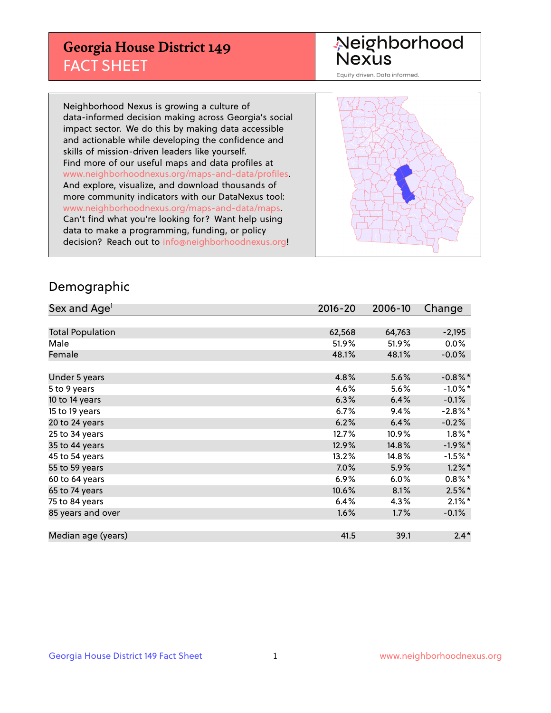## **Georgia House District 149** FACT SHEET

# Neighborhood<br>Nexus

Equity driven. Data informed.

Neighborhood Nexus is growing a culture of data-informed decision making across Georgia's social impact sector. We do this by making data accessible and actionable while developing the confidence and skills of mission-driven leaders like yourself. Find more of our useful maps and data profiles at www.neighborhoodnexus.org/maps-and-data/profiles. And explore, visualize, and download thousands of more community indicators with our DataNexus tool: www.neighborhoodnexus.org/maps-and-data/maps. Can't find what you're looking for? Want help using data to make a programming, funding, or policy decision? Reach out to [info@neighborhoodnexus.org!](mailto:info@neighborhoodnexus.org)



### Demographic

| Sex and Age <sup>1</sup> | $2016 - 20$ | 2006-10 | Change     |
|--------------------------|-------------|---------|------------|
|                          |             |         |            |
| <b>Total Population</b>  | 62,568      | 64,763  | $-2,195$   |
| Male                     | 51.9%       | 51.9%   | $0.0\%$    |
| Female                   | 48.1%       | 48.1%   | $-0.0\%$   |
|                          |             |         |            |
| Under 5 years            | 4.8%        | 5.6%    | $-0.8\%$ * |
| 5 to 9 years             | 4.6%        | 5.6%    | $-1.0\%$ * |
| 10 to 14 years           | 6.3%        | 6.4%    | $-0.1%$    |
| 15 to 19 years           | 6.7%        | 9.4%    | $-2.8\%$ * |
| 20 to 24 years           | 6.2%        | 6.4%    | $-0.2%$    |
| 25 to 34 years           | 12.7%       | 10.9%   | $1.8\%$ *  |
| 35 to 44 years           | 12.9%       | 14.8%   | $-1.9%$ *  |
| 45 to 54 years           | 13.2%       | 14.8%   | $-1.5%$ *  |
| 55 to 59 years           | 7.0%        | 5.9%    | $1.2\%$ *  |
| 60 to 64 years           | 6.9%        | 6.0%    | $0.8\%$ *  |
| 65 to 74 years           | 10.6%       | 8.1%    | $2.5%$ *   |
| 75 to 84 years           | 6.4%        | 4.3%    | $2.1\%$ *  |
| 85 years and over        | 1.6%        | 1.7%    | $-0.1%$    |
|                          |             |         |            |
| Median age (years)       | 41.5        | 39.1    | $2.4*$     |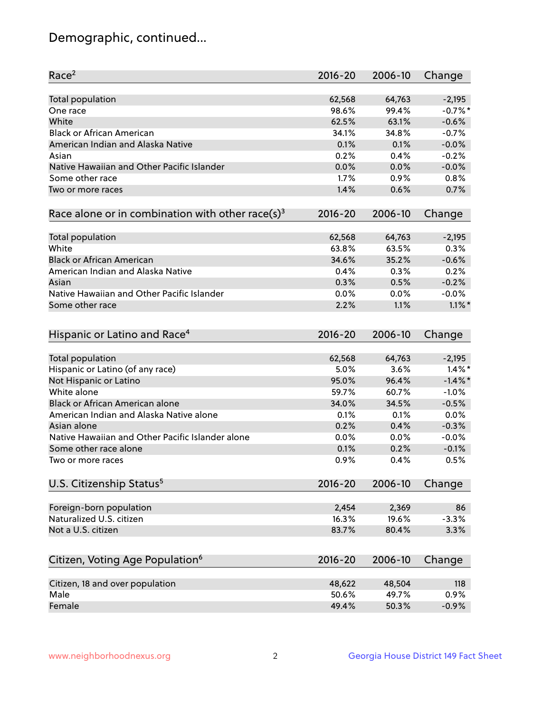## Demographic, continued...

| Race <sup>2</sup>                                            | $2016 - 20$  | 2006-10      | Change               |
|--------------------------------------------------------------|--------------|--------------|----------------------|
| <b>Total population</b>                                      | 62,568       | 64,763       | $-2,195$             |
| One race                                                     | 98.6%        | 99.4%        | $-0.7%$ *            |
| White                                                        | 62.5%        | 63.1%        | $-0.6%$              |
| <b>Black or African American</b>                             | 34.1%        | 34.8%        | $-0.7%$              |
| American Indian and Alaska Native                            | 0.1%         | 0.1%         | $-0.0%$              |
| Asian                                                        | 0.2%         | 0.4%         | $-0.2%$              |
| Native Hawaiian and Other Pacific Islander                   | 0.0%         | 0.0%         | $-0.0%$              |
| Some other race                                              | 1.7%         | 0.9%         | 0.8%                 |
| Two or more races                                            | 1.4%         | 0.6%         | 0.7%                 |
| Race alone or in combination with other race(s) <sup>3</sup> | $2016 - 20$  | 2006-10      | Change               |
| <b>Total population</b>                                      | 62,568       | 64,763       | $-2,195$             |
| White                                                        | 63.8%        | 63.5%        | 0.3%                 |
| <b>Black or African American</b>                             | 34.6%        | 35.2%        | $-0.6%$              |
| American Indian and Alaska Native                            | 0.4%         | 0.3%         | 0.2%                 |
| Asian                                                        | 0.3%         | 0.5%         | $-0.2%$              |
| Native Hawaiian and Other Pacific Islander                   |              |              |                      |
|                                                              | 0.0%<br>2.2% | 0.0%<br>1.1% | $-0.0%$<br>$1.1\%$ * |
| Some other race                                              |              |              |                      |
| Hispanic or Latino and Race <sup>4</sup>                     | $2016 - 20$  | 2006-10      | Change               |
| <b>Total population</b>                                      | 62,568       | 64,763       | $-2,195$             |
| Hispanic or Latino (of any race)                             | 5.0%         | 3.6%         | $1.4\%$ *            |
| Not Hispanic or Latino                                       | 95.0%        | 96.4%        | $-1.4%$              |
| White alone                                                  | 59.7%        | 60.7%        | $-1.0%$              |
| <b>Black or African American alone</b>                       | 34.0%        | 34.5%        | $-0.5%$              |
| American Indian and Alaska Native alone                      | 0.1%         | 0.1%         | 0.0%                 |
| Asian alone                                                  | 0.2%         | 0.4%         | $-0.3%$              |
| Native Hawaiian and Other Pacific Islander alone             | $0.0\%$      | 0.0%         | $-0.0%$              |
| Some other race alone                                        | 0.1%         | 0.2%         | $-0.1%$              |
| Two or more races                                            | 0.9%         | 0.4%         | 0.5%                 |
| U.S. Citizenship Status <sup>5</sup>                         | $2016 - 20$  | 2006-10      | Change               |
|                                                              |              |              |                      |
| Foreign-born population                                      | 2,454        | 2,369        | 86                   |
| Naturalized U.S. citizen                                     | 16.3%        | 19.6%        | $-3.3%$              |
| Not a U.S. citizen                                           | 83.7%        | 80.4%        | 3.3%                 |
|                                                              |              |              |                      |
| Citizen, Voting Age Population <sup>6</sup>                  | 2016-20      | 2006-10      | Change               |
| Citizen, 18 and over population                              | 48,622       | 48,504       | 118                  |
| Male                                                         | 50.6%        | 49.7%        | 0.9%                 |
| Female                                                       | 49.4%        | 50.3%        | $-0.9%$              |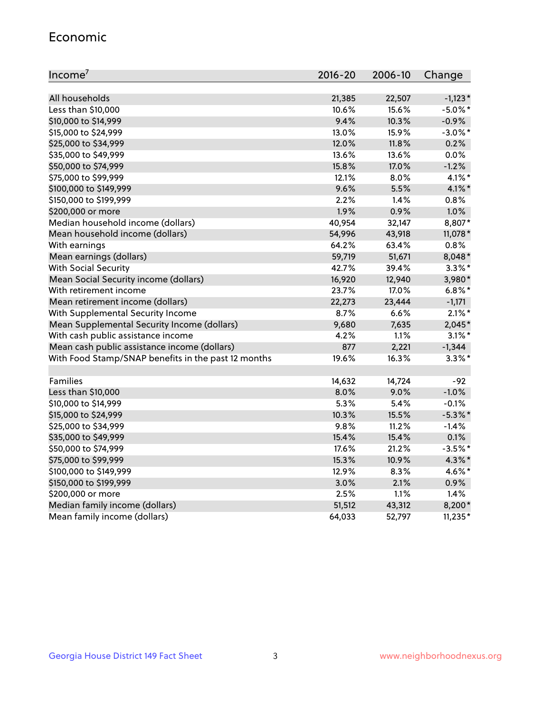#### Economic

| Income <sup>7</sup>                                 | 2016-20 | 2006-10 | Change     |
|-----------------------------------------------------|---------|---------|------------|
|                                                     |         |         |            |
| All households                                      | 21,385  | 22,507  | $-1,123*$  |
| Less than \$10,000                                  | 10.6%   | 15.6%   | $-5.0\%$ * |
| \$10,000 to \$14,999                                | 9.4%    | 10.3%   | $-0.9%$    |
| \$15,000 to \$24,999                                | 13.0%   | 15.9%   | $-3.0\%$ * |
| \$25,000 to \$34,999                                | 12.0%   | 11.8%   | 0.2%       |
| \$35,000 to \$49,999                                | 13.6%   | 13.6%   | $0.0\%$    |
| \$50,000 to \$74,999                                | 15.8%   | 17.0%   | $-1.2%$    |
| \$75,000 to \$99,999                                | 12.1%   | 8.0%    | $4.1\%$ *  |
| \$100,000 to \$149,999                              | 9.6%    | 5.5%    | 4.1%*      |
| \$150,000 to \$199,999                              | 2.2%    | 1.4%    | 0.8%       |
| \$200,000 or more                                   | 1.9%    | 0.9%    | 1.0%       |
| Median household income (dollars)                   | 40,954  | 32,147  | 8,807*     |
| Mean household income (dollars)                     | 54,996  | 43,918  | 11,078 *   |
| With earnings                                       | 64.2%   | 63.4%   | 0.8%       |
| Mean earnings (dollars)                             | 59,719  | 51,671  | 8,048*     |
| <b>With Social Security</b>                         | 42.7%   | 39.4%   | $3.3\%$ *  |
| Mean Social Security income (dollars)               | 16,920  | 12,940  | 3,980*     |
| With retirement income                              | 23.7%   | 17.0%   | $6.8\%$ *  |
| Mean retirement income (dollars)                    | 22,273  | 23,444  | $-1,171$   |
| With Supplemental Security Income                   | $8.7\%$ | 6.6%    | $2.1\%$ *  |
| Mean Supplemental Security Income (dollars)         | 9,680   | 7,635   | 2,045*     |
| With cash public assistance income                  | 4.2%    | 1.1%    | $3.1\%$ *  |
| Mean cash public assistance income (dollars)        | 877     | 2,221   | $-1,344$   |
| With Food Stamp/SNAP benefits in the past 12 months | 19.6%   | 16.3%   | $3.3\%$ *  |
|                                                     |         |         |            |
| Families                                            | 14,632  | 14,724  | $-92$      |
| Less than \$10,000                                  | 8.0%    | 9.0%    | $-1.0%$    |
| \$10,000 to \$14,999                                | 5.3%    | 5.4%    | $-0.1%$    |
| \$15,000 to \$24,999                                | 10.3%   | 15.5%   | $-5.3\%$ * |
| \$25,000 to \$34,999                                | 9.8%    | 11.2%   | $-1.4%$    |
| \$35,000 to \$49,999                                | 15.4%   | 15.4%   | 0.1%       |
| \$50,000 to \$74,999                                | 17.6%   | 21.2%   | $-3.5%$ *  |
| \$75,000 to \$99,999                                | 15.3%   | 10.9%   | $4.3\%$ *  |
| \$100,000 to \$149,999                              | 12.9%   | 8.3%    | 4.6%*      |
| \$150,000 to \$199,999                              | 3.0%    | 2.1%    | $0.9\%$    |
| \$200,000 or more                                   | 2.5%    | 1.1%    | 1.4%       |
| Median family income (dollars)                      | 51,512  | 43,312  | 8,200*     |
| Mean family income (dollars)                        | 64,033  | 52,797  | $11,235*$  |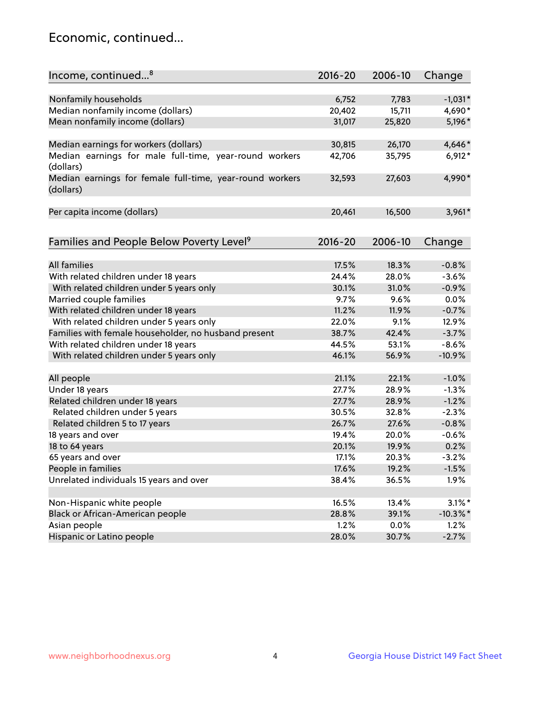## Economic, continued...

| Income, continued <sup>8</sup>                           | $2016 - 20$ | 2006-10 | Change      |
|----------------------------------------------------------|-------------|---------|-------------|
|                                                          |             |         |             |
| Nonfamily households                                     | 6,752       | 7,783   | $-1,031*$   |
| Median nonfamily income (dollars)                        | 20,402      | 15,711  | 4,690*      |
| Mean nonfamily income (dollars)                          | 31,017      | 25,820  | 5,196*      |
|                                                          |             |         |             |
| Median earnings for workers (dollars)                    | 30,815      | 26,170  | 4,646*      |
| Median earnings for male full-time, year-round workers   | 42,706      | 35,795  | $6,912*$    |
| (dollars)                                                |             |         |             |
| Median earnings for female full-time, year-round workers | 32,593      | 27,603  | 4,990*      |
| (dollars)                                                |             |         |             |
|                                                          |             |         |             |
| Per capita income (dollars)                              | 20,461      | 16,500  | $3,961*$    |
|                                                          |             |         |             |
|                                                          |             |         |             |
| Families and People Below Poverty Level <sup>9</sup>     | $2016 - 20$ | 2006-10 | Change      |
|                                                          |             |         |             |
| <b>All families</b>                                      | 17.5%       | 18.3%   | $-0.8%$     |
| With related children under 18 years                     | 24.4%       | 28.0%   | $-3.6%$     |
| With related children under 5 years only                 | 30.1%       | 31.0%   | $-0.9%$     |
| Married couple families                                  | 9.7%        | 9.6%    | 0.0%        |
| With related children under 18 years                     | 11.2%       | 11.9%   | $-0.7%$     |
| With related children under 5 years only                 | 22.0%       | 9.1%    | 12.9%       |
| Families with female householder, no husband present     | 38.7%       | 42.4%   | $-3.7%$     |
| With related children under 18 years                     | 44.5%       | 53.1%   | $-8.6%$     |
| With related children under 5 years only                 | 46.1%       | 56.9%   | $-10.9%$    |
|                                                          |             |         |             |
| All people                                               | 21.1%       | 22.1%   | $-1.0%$     |
| Under 18 years                                           | 27.7%       | 28.9%   | $-1.3%$     |
| Related children under 18 years                          | 27.7%       | 28.9%   | $-1.2%$     |
| Related children under 5 years                           | 30.5%       | 32.8%   | $-2.3%$     |
| Related children 5 to 17 years                           | 26.7%       | 27.6%   | $-0.8%$     |
| 18 years and over                                        | 19.4%       | 20.0%   | $-0.6%$     |
| 18 to 64 years                                           | 20.1%       | 19.9%   | 0.2%        |
| 65 years and over                                        | 17.1%       | 20.3%   | $-3.2%$     |
| People in families                                       | 17.6%       | 19.2%   | $-1.5%$     |
| Unrelated individuals 15 years and over                  | 38.4%       | 36.5%   | 1.9%        |
|                                                          |             |         |             |
| Non-Hispanic white people                                | 16.5%       | 13.4%   | $3.1\%$ *   |
| Black or African-American people                         | 28.8%       | 39.1%   | $-10.3\%$ * |
| Asian people                                             | 1.2%        | $0.0\%$ | 1.2%        |
| Hispanic or Latino people                                | 28.0%       | 30.7%   | $-2.7%$     |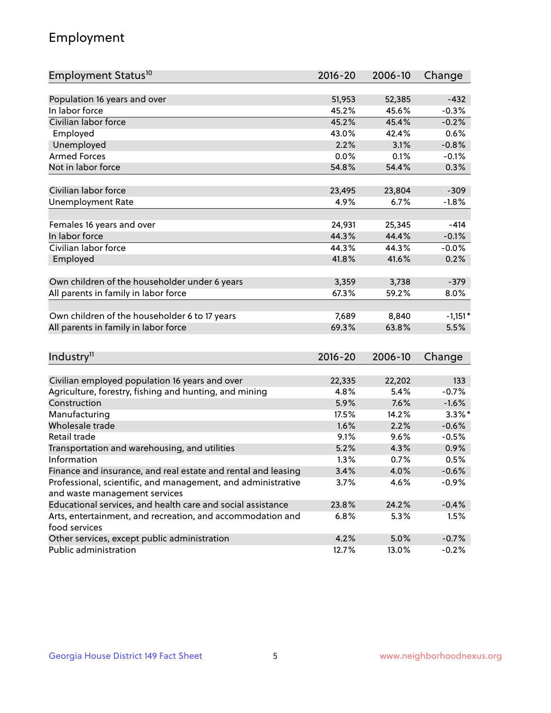## Employment

| Employment Status <sup>10</sup>                                             | $2016 - 20$ | 2006-10 | Change    |
|-----------------------------------------------------------------------------|-------------|---------|-----------|
|                                                                             |             |         |           |
| Population 16 years and over                                                | 51,953      | 52,385  | $-432$    |
| In labor force                                                              | 45.2%       | 45.6%   | $-0.3%$   |
| Civilian labor force                                                        | 45.2%       | 45.4%   | $-0.2%$   |
| Employed                                                                    | 43.0%       | 42.4%   | 0.6%      |
| Unemployed                                                                  | 2.2%        | 3.1%    | $-0.8%$   |
| <b>Armed Forces</b>                                                         | 0.0%        | 0.1%    | $-0.1%$   |
| Not in labor force                                                          | 54.8%       | 54.4%   | 0.3%      |
|                                                                             |             |         |           |
| Civilian labor force                                                        | 23,495      | 23,804  | $-309$    |
| <b>Unemployment Rate</b>                                                    | 4.9%        | 6.7%    | $-1.8%$   |
|                                                                             |             |         |           |
| Females 16 years and over                                                   | 24,931      | 25,345  | -414      |
| In labor force                                                              | 44.3%       | 44.4%   | $-0.1%$   |
| Civilian labor force                                                        | 44.3%       | 44.3%   | $-0.0%$   |
| Employed                                                                    | 41.8%       | 41.6%   | 0.2%      |
| Own children of the householder under 6 years                               | 3,359       | 3,738   | $-379$    |
| All parents in family in labor force                                        | 67.3%       | 59.2%   | 8.0%      |
|                                                                             |             |         |           |
| Own children of the householder 6 to 17 years                               | 7,689       | 8,840   | $-1,151*$ |
| All parents in family in labor force                                        | 69.3%       | 63.8%   | 5.5%      |
|                                                                             |             |         |           |
| Industry <sup>11</sup>                                                      | $2016 - 20$ | 2006-10 | Change    |
|                                                                             |             |         |           |
| Civilian employed population 16 years and over                              | 22,335      | 22,202  | 133       |
| Agriculture, forestry, fishing and hunting, and mining                      | 4.8%        | 5.4%    | $-0.7%$   |
| Construction                                                                | 5.9%        | 7.6%    | $-1.6%$   |
| Manufacturing                                                               | 17.5%       | 14.2%   | $3.3\%$ * |
| Wholesale trade                                                             | 1.6%        | 2.2%    | $-0.6%$   |
| Retail trade                                                                | 9.1%        | 9.6%    | $-0.5%$   |
| Transportation and warehousing, and utilities                               | 5.2%        | 4.3%    | 0.9%      |
| Information                                                                 | 1.3%        | 0.7%    | 0.5%      |
| Finance and insurance, and real estate and rental and leasing               | 3.4%        | 4.0%    | $-0.6%$   |
| Professional, scientific, and management, and administrative                | 3.7%        | 4.6%    | $-0.9%$   |
| and waste management services                                               |             |         |           |
| Educational services, and health care and social assistance                 | 23.8%       | 24.2%   | $-0.4%$   |
| Arts, entertainment, and recreation, and accommodation and<br>food services | 6.8%        | 5.3%    | $1.5\%$   |
| Other services, except public administration                                | 4.2%        | 5.0%    | $-0.7%$   |
| Public administration                                                       | 12.7%       | 13.0%   | $-0.2%$   |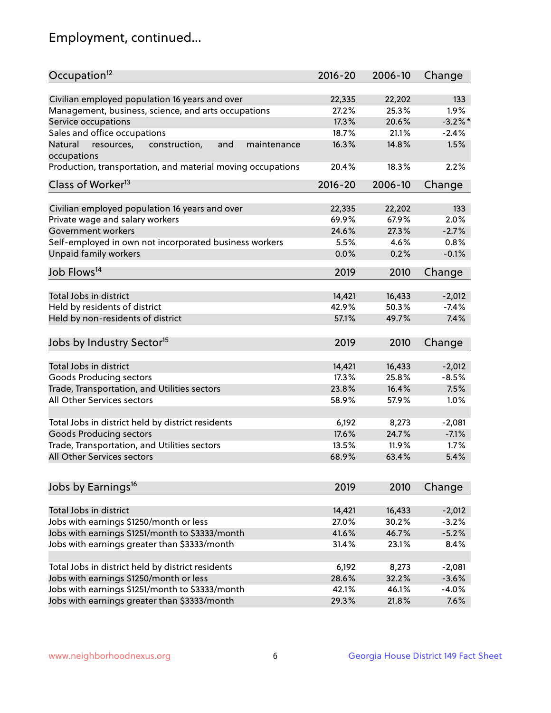## Employment, continued...

| Occupation <sup>12</sup>                                                    | $2016 - 20$ | 2006-10 | Change     |
|-----------------------------------------------------------------------------|-------------|---------|------------|
| Civilian employed population 16 years and over                              | 22,335      | 22,202  | 133        |
| Management, business, science, and arts occupations                         | 27.2%       | 25.3%   | $1.9\%$    |
| Service occupations                                                         | 17.3%       | 20.6%   | $-3.2\%$ * |
| Sales and office occupations                                                | 18.7%       | 21.1%   | $-2.4%$    |
|                                                                             |             |         | 1.5%       |
| Natural<br>and<br>resources,<br>construction,<br>maintenance<br>occupations | 16.3%       | 14.8%   |            |
| Production, transportation, and material moving occupations                 | 20.4%       | 18.3%   | 2.2%       |
| Class of Worker <sup>13</sup>                                               | $2016 - 20$ | 2006-10 | Change     |
|                                                                             |             |         |            |
| Civilian employed population 16 years and over                              | 22,335      | 22,202  | 133        |
| Private wage and salary workers                                             | 69.9%       | 67.9%   | 2.0%       |
| Government workers                                                          | 24.6%       | 27.3%   | $-2.7%$    |
| Self-employed in own not incorporated business workers                      | 5.5%        | 4.6%    | 0.8%       |
| Unpaid family workers                                                       | 0.0%        | 0.2%    | $-0.1%$    |
| Job Flows <sup>14</sup>                                                     | 2019        | 2010    | Change     |
|                                                                             |             |         |            |
| Total Jobs in district                                                      | 14,421      | 16,433  | $-2,012$   |
| Held by residents of district                                               | 42.9%       | 50.3%   | $-7.4%$    |
| Held by non-residents of district                                           | 57.1%       | 49.7%   | 7.4%       |
|                                                                             |             |         |            |
| Jobs by Industry Sector <sup>15</sup>                                       | 2019        | 2010    | Change     |
| Total Jobs in district                                                      | 14,421      | 16,433  | $-2,012$   |
| Goods Producing sectors                                                     | 17.3%       | 25.8%   | $-8.5%$    |
| Trade, Transportation, and Utilities sectors                                | 23.8%       | 16.4%   | 7.5%       |
| All Other Services sectors                                                  |             |         |            |
|                                                                             | 58.9%       | 57.9%   | 1.0%       |
| Total Jobs in district held by district residents                           | 6,192       | 8,273   | $-2,081$   |
| <b>Goods Producing sectors</b>                                              | 17.6%       | 24.7%   | $-7.1%$    |
| Trade, Transportation, and Utilities sectors                                | 13.5%       | 11.9%   | 1.7%       |
| All Other Services sectors                                                  | 68.9%       | 63.4%   | 5.4%       |
|                                                                             |             |         |            |
| Jobs by Earnings <sup>16</sup>                                              | 2019        | 2010    | Change     |
|                                                                             |             |         |            |
| Total Jobs in district                                                      | 14,421      | 16,433  | $-2,012$   |
| Jobs with earnings \$1250/month or less                                     | 27.0%       | 30.2%   | $-3.2%$    |
| Jobs with earnings \$1251/month to \$3333/month                             | 41.6%       | 46.7%   | $-5.2%$    |
| Jobs with earnings greater than \$3333/month                                | 31.4%       | 23.1%   | 8.4%       |
|                                                                             |             |         |            |
| Total Jobs in district held by district residents                           | 6,192       | 8,273   | $-2,081$   |
| Jobs with earnings \$1250/month or less                                     | 28.6%       | 32.2%   | $-3.6%$    |
| Jobs with earnings \$1251/month to \$3333/month                             | 42.1%       | 46.1%   | $-4.0%$    |
| Jobs with earnings greater than \$3333/month                                | 29.3%       | 21.8%   | 7.6%       |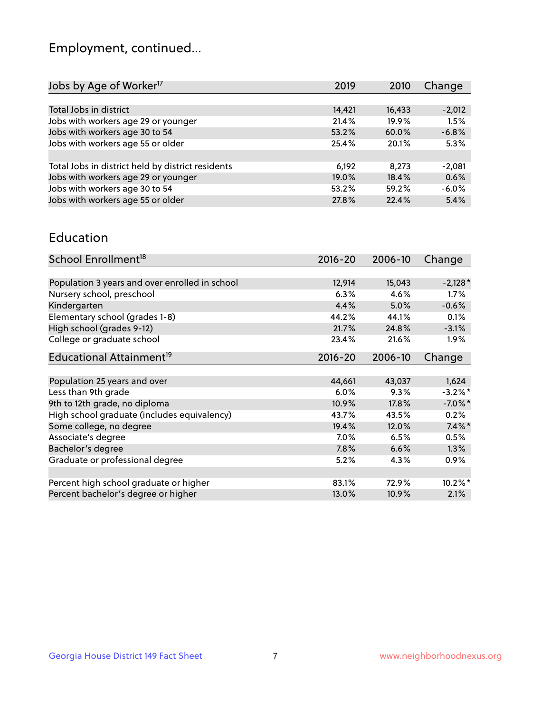## Employment, continued...

| 2010  | Change                                                       |
|-------|--------------------------------------------------------------|
|       |                                                              |
|       | $-2,012$                                                     |
|       | 1.5%                                                         |
|       | $-6.8%$                                                      |
|       | 5.3%                                                         |
|       |                                                              |
| 8.273 | $-2,081$                                                     |
|       | 0.6%                                                         |
|       | $-6.0%$                                                      |
|       | 5.4%                                                         |
|       | 16,433<br>19.9%<br>60.0%<br>20.1%<br>18.4%<br>59.2%<br>22.4% |

#### Education

| School Enrollment <sup>18</sup>                | $2016 - 20$ | 2006-10 | Change     |
|------------------------------------------------|-------------|---------|------------|
|                                                |             |         |            |
| Population 3 years and over enrolled in school | 12,914      | 15,043  | $-2,128*$  |
| Nursery school, preschool                      | 6.3%        | 4.6%    | $1.7\%$    |
| Kindergarten                                   | 4.4%        | 5.0%    | $-0.6%$    |
| Elementary school (grades 1-8)                 | 44.2%       | 44.1%   | 0.1%       |
| High school (grades 9-12)                      | 21.7%       | 24.8%   | $-3.1%$    |
| College or graduate school                     | 23.4%       | 21.6%   | $1.9\%$    |
| Educational Attainment <sup>19</sup>           | $2016 - 20$ | 2006-10 | Change     |
|                                                |             |         |            |
| Population 25 years and over                   | 44,661      | 43,037  | 1,624      |
| Less than 9th grade                            | 6.0%        | 9.3%    | $-3.2%$ *  |
| 9th to 12th grade, no diploma                  | 10.9%       | 17.8%   | $-7.0\%$ * |
| High school graduate (includes equivalency)    | 43.7%       | 43.5%   | 0.2%       |
| Some college, no degree                        | 19.4%       | 12.0%   | $7.4\%$ *  |
| Associate's degree                             | 7.0%        | 6.5%    | 0.5%       |
| Bachelor's degree                              | 7.8%        | 6.6%    | 1.3%       |
| Graduate or professional degree                | 5.2%        | 4.3%    | $0.9\%$    |
|                                                |             |         |            |
| Percent high school graduate or higher         | 83.1%       | 72.9%   | 10.2%*     |
| Percent bachelor's degree or higher            | 13.0%       | 10.9%   | 2.1%       |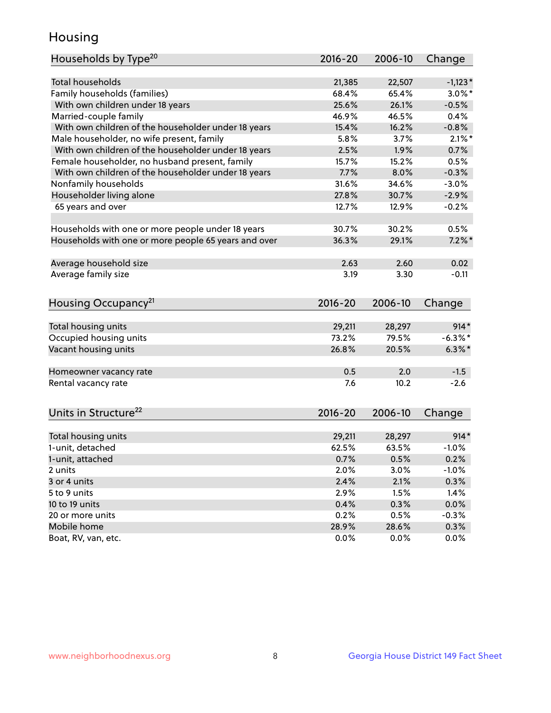## Housing

| Households by Type <sup>20</sup>                     | 2016-20     | 2006-10 | Change     |
|------------------------------------------------------|-------------|---------|------------|
|                                                      |             |         |            |
| <b>Total households</b>                              | 21,385      | 22,507  | $-1,123*$  |
| Family households (families)                         | 68.4%       | 65.4%   | $3.0\%$ *  |
| With own children under 18 years                     | 25.6%       | 26.1%   | $-0.5%$    |
| Married-couple family                                | 46.9%       | 46.5%   | 0.4%       |
| With own children of the householder under 18 years  | 15.4%       | 16.2%   | $-0.8%$    |
| Male householder, no wife present, family            | 5.8%        | 3.7%    | $2.1\%$ *  |
| With own children of the householder under 18 years  | 2.5%        | 1.9%    | 0.7%       |
| Female householder, no husband present, family       | 15.7%       | 15.2%   | 0.5%       |
| With own children of the householder under 18 years  | 7.7%        | 8.0%    | $-0.3%$    |
| Nonfamily households                                 | 31.6%       | 34.6%   | $-3.0%$    |
| Householder living alone                             | 27.8%       | 30.7%   | $-2.9%$    |
| 65 years and over                                    | 12.7%       | 12.9%   | $-0.2%$    |
|                                                      |             |         |            |
| Households with one or more people under 18 years    | 30.7%       | 30.2%   | 0.5%       |
| Households with one or more people 65 years and over | 36.3%       | 29.1%   | $7.2\%$ *  |
|                                                      |             |         |            |
| Average household size                               | 2.63        | 2.60    | 0.02       |
| Average family size                                  | 3.19        | 3.30    | $-0.11$    |
|                                                      |             |         |            |
| Housing Occupancy <sup>21</sup>                      | $2016 - 20$ | 2006-10 | Change     |
|                                                      |             |         |            |
| Total housing units                                  | 29,211      | 28,297  | $914*$     |
| Occupied housing units                               | 73.2%       | 79.5%   | $-6.3\%$ * |
| Vacant housing units                                 | 26.8%       | 20.5%   | $6.3\%$ *  |
|                                                      |             |         |            |
| Homeowner vacancy rate                               | 0.5         | 2.0     | $-1.5$     |
| Rental vacancy rate                                  | 7.6         | 10.2    | $-2.6$     |
|                                                      |             |         |            |
| Units in Structure <sup>22</sup>                     | 2016-20     | 2006-10 | Change     |
|                                                      |             |         |            |
| Total housing units                                  | 29,211      | 28,297  | $914*$     |
| 1-unit, detached                                     | 62.5%       | 63.5%   | $-1.0%$    |
| 1-unit, attached                                     | 0.7%        | 0.5%    | 0.2%       |
| 2 units                                              | 2.0%        | 3.0%    | $-1.0%$    |
| 3 or 4 units                                         | 2.4%        | 2.1%    | 0.3%       |
| 5 to 9 units                                         | 2.9%        | 1.5%    | 1.4%       |
| 10 to 19 units                                       | 0.4%        | 0.3%    | 0.0%       |
| 20 or more units                                     | 0.2%        | 0.5%    | $-0.3%$    |
| Mobile home                                          | 28.9%       | 28.6%   | 0.3%       |
| Boat, RV, van, etc.                                  | 0.0%        | 0.0%    | 0.0%       |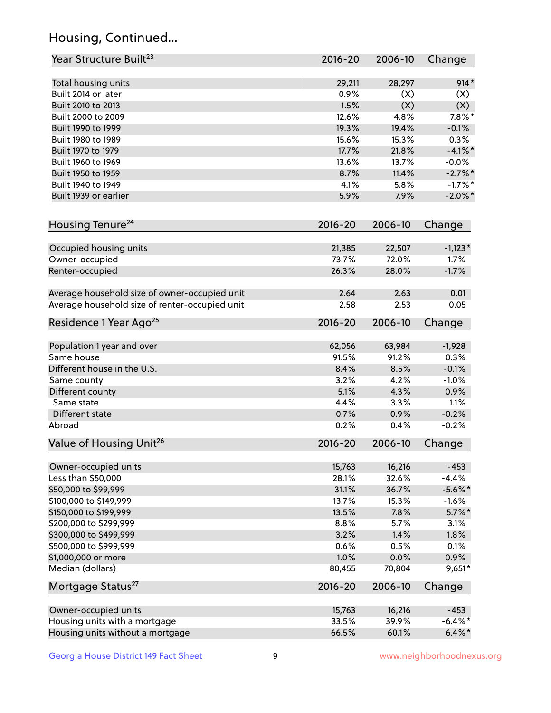## Housing, Continued...

| Year Structure Built <sup>23</sup>             | 2016-20     | 2006-10 | Change     |
|------------------------------------------------|-------------|---------|------------|
| Total housing units                            | 29,211      | 28,297  | $914*$     |
| Built 2014 or later                            | 0.9%        | (X)     | (X)        |
| Built 2010 to 2013                             | 1.5%        | (X)     | (X)        |
| Built 2000 to 2009                             | 12.6%       | 4.8%    | $7.8\%$ *  |
| Built 1990 to 1999                             | 19.3%       | 19.4%   | $-0.1%$    |
| Built 1980 to 1989                             | 15.6%       | 15.3%   | 0.3%       |
| Built 1970 to 1979                             | 17.7%       | 21.8%   | $-4.1\%$ * |
| Built 1960 to 1969                             | 13.6%       | 13.7%   | $-0.0%$    |
| Built 1950 to 1959                             | 8.7%        | 11.4%   | $-2.7\%$ * |
| Built 1940 to 1949                             | 4.1%        | 5.8%    | $-1.7%$ *  |
| Built 1939 or earlier                          | 5.9%        | 7.9%    | $-2.0\%$ * |
| Housing Tenure <sup>24</sup>                   | $2016 - 20$ | 2006-10 | Change     |
|                                                |             |         |            |
| Occupied housing units                         | 21,385      | 22,507  | $-1,123*$  |
| Owner-occupied                                 | 73.7%       | 72.0%   | 1.7%       |
| Renter-occupied                                | 26.3%       | 28.0%   | $-1.7%$    |
| Average household size of owner-occupied unit  | 2.64        | 2.63    | 0.01       |
| Average household size of renter-occupied unit | 2.58        | 2.53    | 0.05       |
| Residence 1 Year Ago <sup>25</sup>             | $2016 - 20$ | 2006-10 | Change     |
| Population 1 year and over                     | 62,056      | 63,984  | $-1,928$   |
| Same house                                     | 91.5%       | 91.2%   | 0.3%       |
| Different house in the U.S.                    | 8.4%        | 8.5%    | $-0.1%$    |
| Same county                                    | 3.2%        | 4.2%    | $-1.0%$    |
| Different county                               | 5.1%        | 4.3%    | 0.9%       |
| Same state                                     | 4.4%        | 3.3%    | 1.1%       |
| Different state                                | 0.7%        | 0.9%    | $-0.2%$    |
| Abroad                                         | 0.2%        | 0.4%    | $-0.2%$    |
| Value of Housing Unit <sup>26</sup>            | $2016 - 20$ | 2006-10 | Change     |
| Owner-occupied units                           | 15,763      | 16,216  | $-453$     |
| Less than \$50,000                             | 28.1%       | 32.6%   | $-4.4%$    |
| \$50,000 to \$99,999                           | 31.1%       | 36.7%   | $-5.6\%$ * |
| \$100,000 to \$149,999                         | 13.7%       | 15.3%   | $-1.6%$    |
| \$150,000 to \$199,999                         | 13.5%       | 7.8%    | $5.7\%$ *  |
| \$200,000 to \$299,999                         | 8.8%        | 5.7%    | 3.1%       |
| \$300,000 to \$499,999                         | 3.2%        | 1.4%    | 1.8%       |
| \$500,000 to \$999,999                         | 0.6%        | 0.5%    | 0.1%       |
| \$1,000,000 or more                            | 1.0%        | 0.0%    | 0.9%       |
| Median (dollars)                               | 80,455      | 70,804  | $9,651*$   |
| Mortgage Status <sup>27</sup>                  | $2016 - 20$ | 2006-10 | Change     |
|                                                |             |         |            |
| Owner-occupied units                           | 15,763      | 16,216  | $-453$     |
| Housing units with a mortgage                  | 33.5%       | 39.9%   | $-6.4\%$ * |
| Housing units without a mortgage               | 66.5%       | 60.1%   | $6.4\% *$  |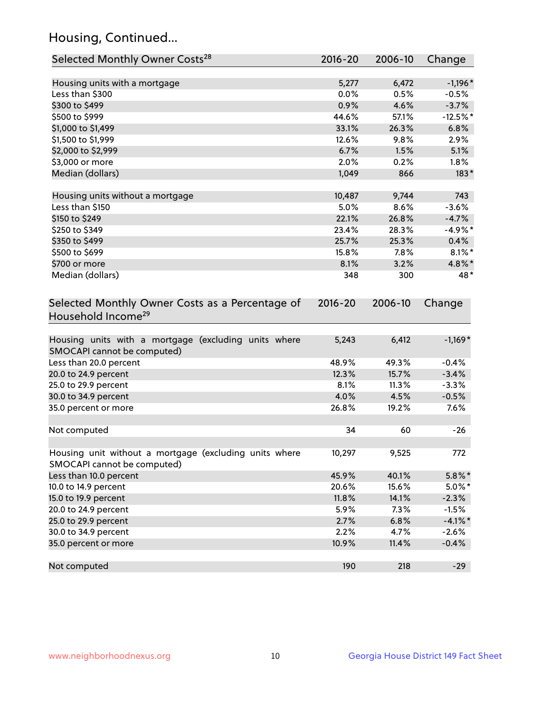## Housing, Continued...

| Selected Monthly Owner Costs <sup>28</sup>                                            | 2016-20 | 2006-10 | Change     |
|---------------------------------------------------------------------------------------|---------|---------|------------|
| Housing units with a mortgage                                                         | 5,277   | 6,472   | $-1,196*$  |
| Less than \$300                                                                       | 0.0%    | 0.5%    | $-0.5%$    |
| \$300 to \$499                                                                        | 0.9%    | 4.6%    | $-3.7%$    |
| \$500 to \$999                                                                        | 44.6%   | 57.1%   | $-12.5%$ * |
| \$1,000 to \$1,499                                                                    | 33.1%   | 26.3%   | 6.8%       |
| \$1,500 to \$1,999                                                                    | 12.6%   | 9.8%    | 2.9%       |
| \$2,000 to \$2,999                                                                    | 6.7%    | 1.5%    | 5.1%       |
| \$3,000 or more                                                                       | 2.0%    | 0.2%    | $1.8\%$    |
| Median (dollars)                                                                      | 1,049   | 866     | $183*$     |
| Housing units without a mortgage                                                      | 10,487  | 9,744   | 743        |
| Less than \$150                                                                       | 5.0%    | 8.6%    | $-3.6%$    |
| \$150 to \$249                                                                        | 22.1%   | 26.8%   | $-4.7%$    |
| \$250 to \$349                                                                        | 23.4%   | 28.3%   | $-4.9%$ *  |
| \$350 to \$499                                                                        | 25.7%   | 25.3%   | 0.4%       |
| \$500 to \$699                                                                        | 15.8%   | 7.8%    | $8.1\%$ *  |
| \$700 or more                                                                         | 8.1%    | 3.2%    | 4.8%*      |
| Median (dollars)                                                                      | 348     | 300     | 48*        |
| Selected Monthly Owner Costs as a Percentage of<br>Household Income <sup>29</sup>     |         |         | Change     |
| Housing units with a mortgage (excluding units where<br>SMOCAPI cannot be computed)   | 5,243   | 6,412   | $-1,169*$  |
| Less than 20.0 percent                                                                | 48.9%   | 49.3%   | $-0.4%$    |
| 20.0 to 24.9 percent                                                                  | 12.3%   | 15.7%   | $-3.4%$    |
| 25.0 to 29.9 percent                                                                  | 8.1%    | 11.3%   | $-3.3%$    |
| 30.0 to 34.9 percent                                                                  | 4.0%    | 4.5%    | $-0.5%$    |
| 35.0 percent or more                                                                  | 26.8%   | 19.2%   | 7.6%       |
| Not computed                                                                          | 34      | 60      | $-26$      |
| Housing unit without a mortgage (excluding units where<br>SMOCAPI cannot be computed) | 10,297  | 9,525   | 772        |
| Less than 10.0 percent                                                                | 45.9%   | 40.1%   | $5.8\%$ *  |
| 10.0 to 14.9 percent                                                                  | 20.6%   | 15.6%   | $5.0\%$ *  |
| 15.0 to 19.9 percent                                                                  | 11.8%   | 14.1%   | $-2.3%$    |
| 20.0 to 24.9 percent                                                                  | 5.9%    | 7.3%    | $-1.5%$    |
| 25.0 to 29.9 percent                                                                  | 2.7%    | 6.8%    | $-4.1%$ *  |
| 30.0 to 34.9 percent                                                                  | 2.2%    | 4.7%    | $-2.6%$    |
| 35.0 percent or more                                                                  | 10.9%   | 11.4%   | $-0.4%$    |
| Not computed                                                                          | 190     | 218     | $-29$      |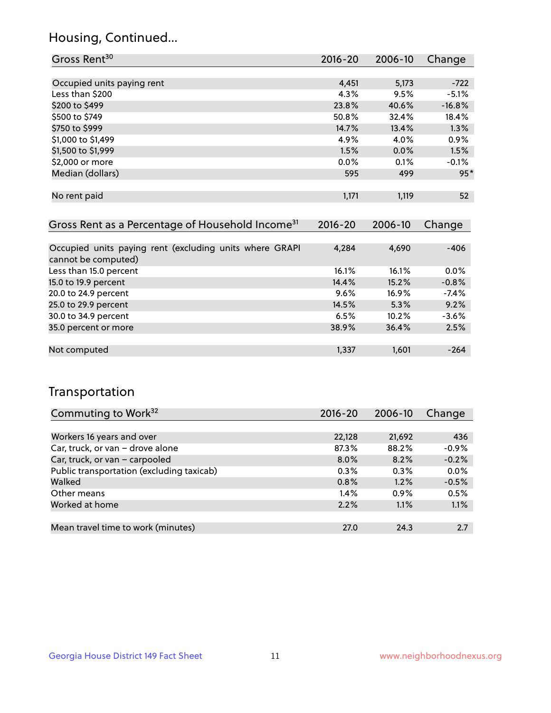## Housing, Continued...

| Gross Rent <sup>30</sup>   | 2016-20 | 2006-10 | Change   |
|----------------------------|---------|---------|----------|
|                            |         |         |          |
| Occupied units paying rent | 4,451   | 5,173   | $-722$   |
| Less than \$200            | 4.3%    | 9.5%    | $-5.1%$  |
| \$200 to \$499             | 23.8%   | 40.6%   | $-16.8%$ |
| \$500 to \$749             | 50.8%   | 32.4%   | 18.4%    |
| \$750 to \$999             | 14.7%   | 13.4%   | 1.3%     |
| \$1,000 to \$1,499         | 4.9%    | 4.0%    | 0.9%     |
| \$1,500 to \$1,999         | 1.5%    | $0.0\%$ | 1.5%     |
| \$2,000 or more            | 0.0%    | 0.1%    | $-0.1%$  |
| Median (dollars)           | 595     | 499     | $95*$    |
|                            |         |         |          |
| No rent paid               | 1,171   | 1,119   | 52       |
|                            |         |         |          |

| Gross Rent as a Percentage of Household Income <sup>31</sup>                   | $2016 - 20$ | 2006-10  | Change  |
|--------------------------------------------------------------------------------|-------------|----------|---------|
|                                                                                |             |          |         |
| Occupied units paying rent (excluding units where GRAPI<br>cannot be computed) | 4,284       | 4,690    | $-406$  |
| Less than 15.0 percent                                                         | 16.1%       | 16.1%    | $0.0\%$ |
| 15.0 to 19.9 percent                                                           | 14.4%       | 15.2%    | $-0.8%$ |
| 20.0 to 24.9 percent                                                           | $9.6\%$     | $16.9\%$ | $-7.4%$ |
| 25.0 to 29.9 percent                                                           | 14.5%       | 5.3%     | 9.2%    |
| 30.0 to 34.9 percent                                                           | 6.5%        | 10.2%    | $-3.6%$ |
| 35.0 percent or more                                                           | 38.9%       | 36.4%    | 2.5%    |
|                                                                                |             |          |         |
| Not computed                                                                   | 1,337       | 1,601    | $-264$  |

## Transportation

| Commuting to Work <sup>32</sup>           | 2016-20 | 2006-10 | Change  |
|-------------------------------------------|---------|---------|---------|
|                                           |         |         |         |
| Workers 16 years and over                 | 22,128  | 21,692  | 436     |
| Car, truck, or van - drove alone          | 87.3%   | 88.2%   | $-0.9%$ |
| Car, truck, or van - carpooled            | $8.0\%$ | 8.2%    | $-0.2%$ |
| Public transportation (excluding taxicab) | $0.3\%$ | 0.3%    | 0.0%    |
| Walked                                    | 0.8%    | 1.2%    | $-0.5%$ |
| Other means                               | 1.4%    | 0.9%    | 0.5%    |
| Worked at home                            | 2.2%    | 1.1%    | 1.1%    |
|                                           |         |         |         |
| Mean travel time to work (minutes)        | 27.0    | 24.3    | 2.7     |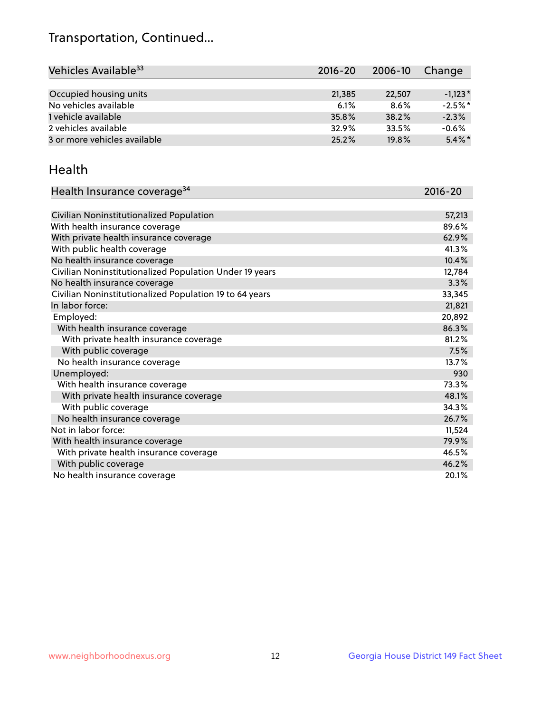## Transportation, Continued...

| Vehicles Available <sup>33</sup> | $2016 - 20$ | 2006-10 | Change    |
|----------------------------------|-------------|---------|-----------|
|                                  |             |         |           |
| Occupied housing units           | 21,385      | 22,507  | $-1.123*$ |
| No vehicles available            | 6.1%        | 8.6%    | $-2.5%$ * |
| 1 vehicle available              | 35.8%       | 38.2%   | $-2.3%$   |
| 2 vehicles available             | 32.9%       | 33.5%   | $-0.6%$   |
| 3 or more vehicles available     | 25.2%       | 19.8%   | $5.4\%$ * |

#### Health

| Health Insurance coverage <sup>34</sup>                 | 2016-20 |
|---------------------------------------------------------|---------|
|                                                         |         |
| Civilian Noninstitutionalized Population                | 57,213  |
| With health insurance coverage                          | 89.6%   |
| With private health insurance coverage                  | 62.9%   |
| With public health coverage                             | 41.3%   |
| No health insurance coverage                            | 10.4%   |
| Civilian Noninstitutionalized Population Under 19 years | 12,784  |
| No health insurance coverage                            | 3.3%    |
| Civilian Noninstitutionalized Population 19 to 64 years | 33,345  |
| In labor force:                                         | 21,821  |
| Employed:                                               | 20,892  |
| With health insurance coverage                          | 86.3%   |
| With private health insurance coverage                  | 81.2%   |
| With public coverage                                    | 7.5%    |
| No health insurance coverage                            | 13.7%   |
| Unemployed:                                             | 930     |
| With health insurance coverage                          | 73.3%   |
| With private health insurance coverage                  | 48.1%   |
| With public coverage                                    | 34.3%   |
| No health insurance coverage                            | 26.7%   |
| Not in labor force:                                     | 11,524  |
| With health insurance coverage                          | 79.9%   |
| With private health insurance coverage                  | 46.5%   |
| With public coverage                                    | 46.2%   |
| No health insurance coverage                            | 20.1%   |